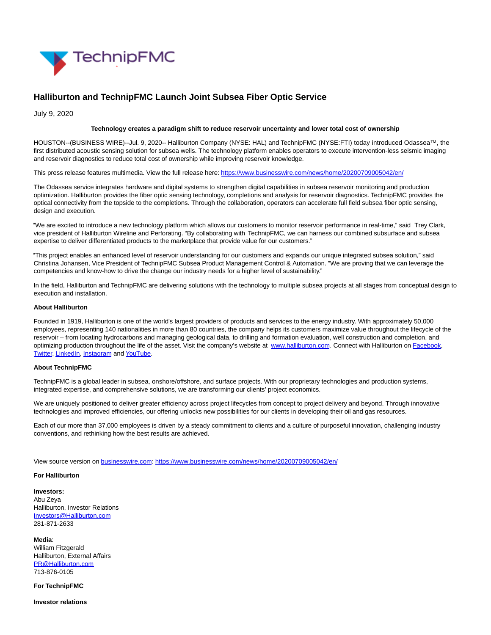

# **Halliburton and TechnipFMC Launch Joint Subsea Fiber Optic Service**

July 9, 2020

## **Technology creates a paradigm shift to reduce reservoir uncertainty and lower total cost of ownership**

HOUSTON--(BUSINESS WIRE)--Jul. 9, 2020-- Halliburton Company (NYSE: HAL) and TechnipFMC (NYSE:FTI) today introduced Odassea™, the first distributed acoustic sensing solution for subsea wells. The technology platform enables operators to execute intervention-less seismic imaging and reservoir diagnostics to reduce total cost of ownership while improving reservoir knowledge.

This press release features multimedia. View the full release here:<https://www.businesswire.com/news/home/20200709005042/en/>

The Odassea service integrates hardware and digital systems to strengthen digital capabilities in subsea reservoir monitoring and production optimization. Halliburton provides the fiber optic sensing technology, completions and analysis for reservoir diagnostics. TechnipFMC provides the optical connectivity from the topside to the completions. Through the collaboration, operators can accelerate full field subsea fiber optic sensing, design and execution.

"We are excited to introduce a new technology platform which allows our customers to monitor reservoir performance in real-time," said Trey Clark, vice president of Halliburton Wireline and Perforating. "By collaborating with TechnipFMC, we can harness our combined subsurface and subsea expertise to deliver differentiated products to the marketplace that provide value for our customers."

"This project enables an enhanced level of reservoir understanding for our customers and expands our unique integrated subsea solution," said Christina Johansen, Vice President of TechnipFMC Subsea Product Management Control & Automation. "We are proving that we can leverage the competencies and know-how to drive the change our industry needs for a higher level of sustainability."

In the field, Halliburton and TechnipFMC are delivering solutions with the technology to multiple subsea projects at all stages from conceptual design to execution and installation.

### **About Halliburton**

Founded in 1919, Halliburton is one of the world's largest providers of products and services to the energy industry. With approximately 50,000 employees, representing 140 nationalities in more than 80 countries, the company helps its customers maximize value throughout the lifecycle of the reservoir – from locating hydrocarbons and managing geological data, to drilling and formation evaluation, well construction and completion, and optimizing production throughout the life of the asset. Visit the company's website at [www.halliburton.com.](https://cts.businesswire.com/ct/CT?id=smartlink&url=http%3A%2F%2Fwww.halliburton.com%2F&esheet=52245631&newsitemid=20200709005042&lan=en-US&anchor=www.halliburton.com&index=1&md5=e50fe90801d720f7f659972fa69473bb) Connect with Halliburton on [Facebook,](https://cts.businesswire.com/ct/CT?id=smartlink&url=https%3A%2F%2Fwww.facebook.com%2Fhalliburton&esheet=52245631&newsitemid=20200709005042&lan=en-US&anchor=Facebook&index=2&md5=fbcb7a97bfb556500d3c93a5175619b8) [Twitter,](https://cts.businesswire.com/ct/CT?id=smartlink&url=https%3A%2F%2Ftwitter.com%2FHalliburton&esheet=52245631&newsitemid=20200709005042&lan=en-US&anchor=Twitter&index=3&md5=a2985de48bb7945603e35fd6ce6a0b2e) [LinkedIn,](https://cts.businesswire.com/ct/CT?id=smartlink&url=http%3A%2F%2Fwww.linkedin.com%2Fcompany%2Fhalliburton&esheet=52245631&newsitemid=20200709005042&lan=en-US&anchor=LinkedIn&index=4&md5=eef7960147453027144f57d1ce0e1772) [Instagram a](https://cts.businesswire.com/ct/CT?id=smartlink&url=https%3A%2F%2Fwww.instagram.com%2Fhalliburton%2F&esheet=52245631&newsitemid=20200709005042&lan=en-US&anchor=Instagram&index=5&md5=aeba82ff0f4ae34c2cfb86694947357c)nd [YouTube.](https://cts.businesswire.com/ct/CT?id=smartlink&url=http%3A%2F%2Fwww.youtube.com%2Fuser%2FHalliburton&esheet=52245631&newsitemid=20200709005042&lan=en-US&anchor=YouTube&index=6&md5=630c7f0d9998a30466654d576d974441)

## **About TechnipFMC**

TechnipFMC is a global leader in subsea, onshore/offshore, and surface projects. With our proprietary technologies and production systems, integrated expertise, and comprehensive solutions, we are transforming our clients' project economics.

We are uniquely positioned to deliver greater efficiency across project lifecycles from concept to project delivery and beyond. Through innovative technologies and improved efficiencies, our offering unlocks new possibilities for our clients in developing their oil and gas resources.

Each of our more than 37,000 employees is driven by a steady commitment to clients and a culture of purposeful innovation, challenging industry conventions, and rethinking how the best results are achieved.

View source version on [businesswire.com:](http://businesswire.com/)<https://www.businesswire.com/news/home/20200709005042/en/>

### **For Halliburton**

**Investors:**

Abu Zeya Halliburton, Investor Relations [Investors@Halliburton.com](mailto:Investors@Halliburton.com) 281-871-2633

**Media**: William Fitzgerald Halliburton, External Affairs [PR@Halliburton.com](mailto:PR@Halliburton.com) 713-876-0105

**For TechnipFMC**

**Investor relations**